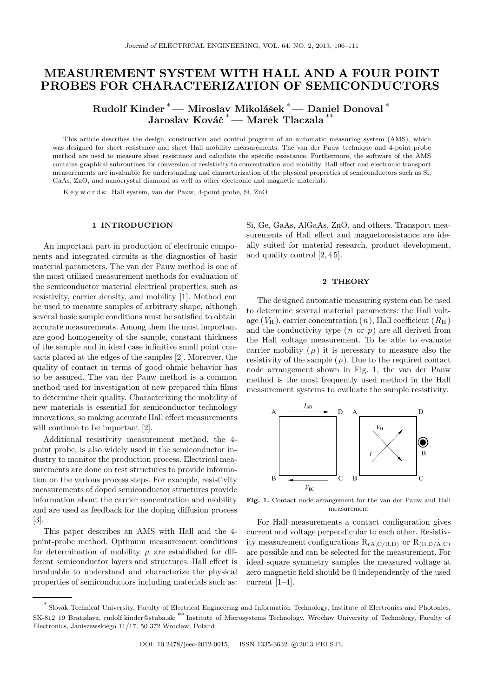# MEASUREMENT SYSTEM WITH HALL AND A FOUR POINT PROBES FOR CHARACTERIZATION OF SEMICONDUCTORS

Rudolf Kinder <sup>\*</sup> — Miroslav Mikolášek <sup>\*</sup> — Daniel Donoval <sup>\*</sup> Jaroslav Kováč <sup>∗</sup>— Marek Tlaczala

This article describes the design, construction and control program of an automatic measuring system (AMS), which was designed for sheet resistance and sheet Hall mobility measurements. The van der Pauw technique and 4-point probe method are used to measure sheet resistance and calculate the specific resistance. Furthermore, the software of the AMS contains graphical subroutines for conversion of resistivity to concentration and mobility. Hall effect and electronic transport measurements are invaluable for understanding and characterization of the physical properties of semiconductors such as Si, GaAs, ZnO, and nanocrystal diamond as well as other electronic and magnetic materials.

K e y w o r d s: Hall system, van der Pauw, 4-point probe, Si, ZnO

#### 1 INTRODUCTION

An important part in production of electronic components and integrated circuits is the diagnostics of basic material parameters. The van der Pauw method is one of the most utilized measurement methods for evaluation of the semiconductor material electrical properties, such as resistivity, carrier density, and mobility [1]. Method can be used to measure samples of arbitrary shape, although several basic sample conditions must be satisfied to obtain accurate measurements. Among them the most important are good homogeneity of the sample, constant thickness of the sample and in ideal case infinitive small point contacts placed at the edges of the samples [2]. Moreover, the quality of contact in terms of good ohmic behavior has to be assured. The van der Pauw method is a common method used for investigation of new prepared thin films to determine their quality. Characterizing the mobility of new materials is essential for semiconductor technology innovations, so making accurate Hall effect measurements will continue to be important [2].

Additional resistivity measurement method, the 4 point probe, is also widely used in the semiconductor industry to monitor the production process. Electrical measurements are done on test structures to provide information on the various process steps. For example, resistivity measurements of doped semiconductor structures provide information about the carrier concentration and mobility and are used as feedback for the doping diffusion process [3].

This paper describes an AMS with Hall and the 4 point-probe method. Optimum measurement conditions for determination of mobility  $\mu$  are established for different semiconductor layers and structures. Hall effect is invaluable to understand and characterize the physical properties of semiconductors including materials such as: Si, Ge, GaAs, AlGaAs, ZnO, and others. Transport measurements of Hall effect and magnetoresistance are ideally suited for material research, product development, and quality control [2, 4 5].

#### 2 THEORY

The designed automatic measuring system can be used to determine several material parameters: the Hall voltage  $(V_H)$ , carrier concentration  $(n)$ , Hall coefficient  $(R_H)$ and the conductivity type  $(n \text{ or } p)$  are all derived from the Hall voltage measurement. To be able to evaluate carrier mobility  $(\mu)$  it is necessary to measure also the resistivity of the sample  $(\rho)$ . Due to the required contact node arrangement shown in Fig. 1, the van der Pauw method is the most frequently used method in the Hall measurement systems to evaluate the sample resistivity.



Fig. 1. Contact node arrangement for the van der Pauw and Hall measurement

For Hall measurements a contact configuration gives current and voltage perpendicular to each other. Resistivity measurement configurations  $R_{(A,C/B,D)}$  or  $R_{(B,D/A,C)}$ are possible and can be selected for the measurement. For ideal square symmetry samples the measured voltage at zero magnetic field should be 0 independently of the used current [1–4].

<sup>∗</sup> Slovak Technical University, Faculty of Electrical Engineering and Information Technology, Institute of Electronics and Photonics, SK-812 19 Bratislava, rudolf.kinder@stuba.sk; \*\* Institute of Microsystems Technology, Wroclaw University of Technology, Faculty of Electronics, Janiszewskiego 11/17, 50 372 Wroclaw, Poland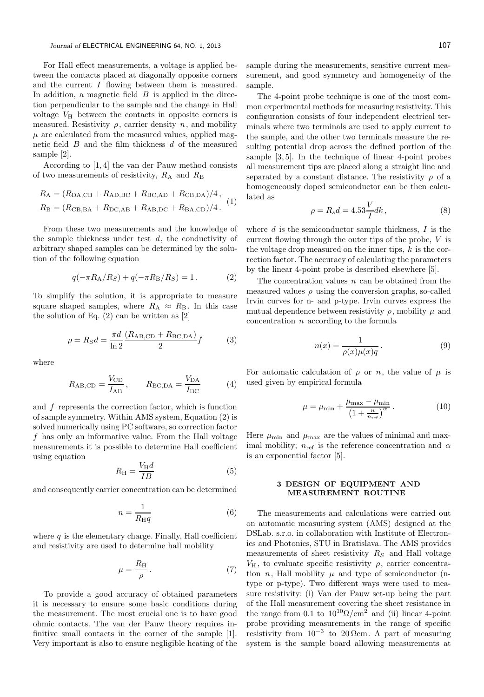For Hall effect measurements, a voltage is applied between the contacts placed at diagonally opposite corners and the current I flowing between them is measured. In addition, a magnetic field  $B$  is applied in the direction perpendicular to the sample and the change in Hall voltage  $V_H$  between the contacts in opposite corners is measured. Resistivity  $\rho$ , carrier density n, and mobility  $\mu$  are calculated from the measured values, applied magnetic field  $B$  and the film thickness  $d$  of the measured sample [2].

According to [1, 4] the van der Pauw method consists of two measurements of resistivity,  $R_A$  and  $R_B$ 

$$
R_{\rm A} = (R_{\rm DA,CB} + R_{\rm AD,BC} + R_{\rm BC,AD} + R_{\rm CB,DA})/4,
$$
  
\n
$$
R_{\rm B} = (R_{\rm CB,BA} + R_{\rm DC,AB} + R_{\rm AB,DC} + R_{\rm BA,CD})/4.
$$
 (1)

From these two measurements and the knowledge of the sample thickness under test  $d$ , the conductivity of arbitrary shaped samples can be determined by the solution of the following equation

$$
q(-\pi R_{\rm A}/R_S) + q(-\pi R_{\rm B}/R_S) = 1.
$$
 (2)

To simplify the solution, it is appropriate to measure square shaped samples, where  $R_A \approx R_B$ . In this case the solution of Eq.  $(2)$  can be written as  $[2]$ 

$$
\rho = R_S d = \frac{\pi d}{\ln 2} \frac{(R_{\text{AB,CD}} + R_{\text{BC,DA}})}{2} f \tag{3}
$$

where

$$
R_{\text{AB,CD}} = \frac{V_{\text{CD}}}{I_{\text{AB}}}, \qquad R_{\text{BC,DA}} = \frac{V_{\text{DA}}}{I_{\text{BC}}} \tag{4}
$$

and  $f$  represents the correction factor, which is function of sample symmetry. Within AMS system, Equation (2) is solved numerically using PC software, so correction factor f has only an informative value. From the Hall voltage measurements it is possible to determine Hall coefficient using equation

$$
R_{\rm H} = \frac{V_{\rm H} d}{IB} \tag{5}
$$

and consequently carrier concentration can be determined

$$
n = \frac{1}{R_{\rm H}q} \tag{6}
$$

where  $q$  is the elementary charge. Finally, Hall coefficient and resistivity are used to determine hall mobility

$$
\mu = \frac{R_{\rm H}}{\rho} \,. \tag{7}
$$

To provide a good accuracy of obtained parameters it is necessary to ensure some basic conditions during the measurement. The most crucial one is to have good ohmic contacts. The van der Pauw theory requires infinitive small contacts in the corner of the sample [1]. Very important is also to ensure negligible heating of the sample during the measurements, sensitive current measurement, and good symmetry and homogeneity of the sample.

The 4-point probe technique is one of the most common experimental methods for measuring resistivity. This configuration consists of four independent electrical terminals where two terminals are used to apply current to the sample, and the other two terminals measure the resulting potential drop across the defined portion of the sample [3, 5]. In the technique of linear 4-point probes all measurement tips are placed along a straight line and separated by a constant distance. The resistivity  $\rho$  of a homogeneously doped semiconductor can be then calculated as

$$
\rho = R_s d = 4.53 \frac{V}{I} dk, \qquad (8)
$$

where  $d$  is the semiconductor sample thickness,  $I$  is the current flowing through the outer tips of the probe, V is the voltage drop measured on the inner tips,  $k$  is the correction factor. The accuracy of calculating the parameters by the linear 4-point probe is described elsewhere [5].

The concentration values  $n$  can be obtained from the measured values  $\rho$  using the conversion graphs, so-called Irvin curves for n- and p-type. Irvin curves express the mutual dependence between resistivity  $\rho$ , mobility  $\mu$  and concentration  $n$  according to the formula

$$
n(x) = \frac{1}{\rho(x)\mu(x)q}.
$$
\n(9)

For automatic calculation of  $\rho$  or n, the value of  $\mu$  is used given by empirical formula

$$
\mu = \mu_{\min} + \frac{\mu_{\max} - \mu_{\min}}{\left(1 + \frac{n}{n_{\text{ref}}}\right)^{\alpha}}.
$$
\n(10)

Here  $\mu_{\min}$  and  $\mu_{\max}$  are the values of minimal and maximal mobility;  $n_{ref}$  is the reference concentration and  $\alpha$ is an exponential factor [5].

# 3 DESIGN OF EQUIPMENT AND MEASUREMENT ROUTINE

The measurements and calculations were carried out on automatic measuring system (AMS) designed at the DSLab. s.r.o. in collaboration with Institute of Electronics and Photonics, STU in Bratislava. The AMS provides measurements of sheet resistivity  $R<sub>S</sub>$  and Hall voltage  $V_{\rm H}$ , to evaluate specific resistivity  $\rho$ , carrier concentration *n*, Hall mobility  $\mu$  and type of semiconductor (ntype or p-type). Two different ways were used to measure resistivity: (i) Van der Pauw set-up being the part of the Hall measurement covering the sheet resistance in the range from 0.1 to  $10^{10} \Omega/cm^2$  and (ii) linear 4-point probe providing measurements in the range of specific resistivity from  $10^{-3}$  to 20  $\Omega$ cm. A part of measuring system is the sample board allowing measurements at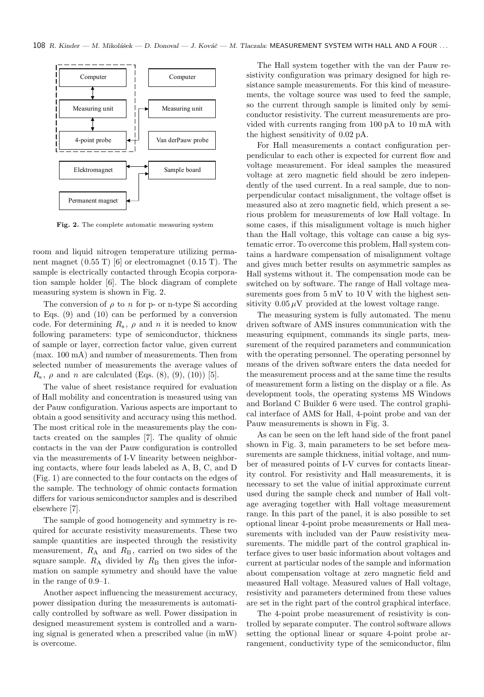

Fig. 2. The complete automatic measuring system

room and liquid nitrogen temperature utilizing permanent magnet  $(0.55 \text{ T})$  [6] or electromagnet  $(0.15 \text{ T})$ . The sample is electrically contacted through Ecopia corporation sample holder [6]. The block diagram of complete measuring system is shown in Fig. 2.

The conversion of  $\rho$  to  $n$  for p- or n-type Si according to Eqs. (9) and (10) can be performed by a conversion code. For determining  $R_s$ ,  $\rho$  and n it is needed to know following parameters: type of semiconductor, thickness of sample or layer, correction factor value, given current (max. 100 mA) and number of measurements. Then from selected number of measurements the average values of  $R_s$ ,  $\rho$  and *n* are calculated (Eqs. (8), (9), (10)) [5].

The value of sheet resistance required for evaluation of Hall mobility and concentration is measured using van der Pauw configuration. Various aspects are important to obtain a good sensitivity and accuracy using this method. The most critical role in the measurements play the contacts created on the samples [7]. The quality of ohmic contacts in the van der Pauw configuration is controlled via the measurements of I-V linearity between neighboring contacts, where four leads labeled as A, B, C, and D (Fig. 1) are connected to the four contacts on the edges of the sample. The technology of ohmic contacts formation differs for various semiconductor samples and is described elsewhere [7].

The sample of good homogeneity and symmetry is required for accurate resistivity measurements. These two sample quantities are inspected through the resistivity measurement,  $R_A$  and  $R_B$ , carried on two sides of the square sample.  $R_A$  divided by  $R_B$  then gives the information on sample symmetry and should have the value in the range of 0.9–1.

Another aspect influencing the measurement accuracy, power dissipation during the measurements is automatically controlled by software as well. Power dissipation in designed measurement system is controlled and a warning signal is generated when a prescribed value (in mW) is overcome.

The Hall system together with the van der Pauw resistivity configuration was primary designed for high resistance sample measurements. For this kind of measurements, the voltage source was used to feed the sample, so the current through sample is limited only by semiconductor resistivity. The current measurements are provided with currents ranging from 100 pA to 10 mA with the highest sensitivity of 0.02 pA.

For Hall measurements a contact configuration perpendicular to each other is expected for current flow and voltage measurement. For ideal samples the measured voltage at zero magnetic field should be zero independently of the used current. In a real sample, due to nonperpendicular contact misalignment, the voltage offset is measured also at zero magnetic field, which present a serious problem for measurements of low Hall voltage. In some cases, if this misalignment voltage is much higher than the Hall voltage, this voltage can cause a big systematic error. To overcome this problem, Hall system contains a hardware compensation of misalignment voltage and gives much better results on asymmetric samples as Hall systems without it. The compensation mode can be switched on by software. The range of Hall voltage measurements goes from  $5 \text{ mV}$  to  $10 \text{ V}$  with the highest sensitivity  $0.05 \mu V$  provided at the lowest voltage range.

The measuring system is fully automated. The menu driven software of AMS insures communication with the measuring equipment, commands its single parts, measurement of the required parameters and communication with the operating personnel. The operating personnel by means of the driven software enters the data needed for the measurement process and at the same time the results of measurement form a listing on the display or a file. As development tools, the operating systems MS Windows and Borland C Builder 6 were used. The control graphical interface of AMS for Hall, 4-point probe and van der Pauw measurements is shown in Fig. 3.

As can be seen on the left hand side of the front panel shown in Fig. 3, main parameters to be set before measurements are sample thickness, initial voltage, and number of measured points of I-V curves for contacts linearity control. For resistivity and Hall measurements, it is necessary to set the value of initial approximate current used during the sample check and number of Hall voltage averaging together with Hall voltage measurement range. In this part of the panel, it is also possible to set optional linear 4-point probe measurements or Hall measurements with included van der Pauw resistivity measurements. The middle part of the control graphical interface gives to user basic information about voltages and current at particular nodes of the sample and information about compensation voltage at zero magnetic field and measured Hall voltage. Measured values of Hall voltage, resistivity and parameters determined from these values are set in the right part of the control graphical interface.

The 4-point probe measurement of resistivity is controlled by separate computer. The control software allows setting the optional linear or square 4-point probe arrangement, conductivity type of the semiconductor, film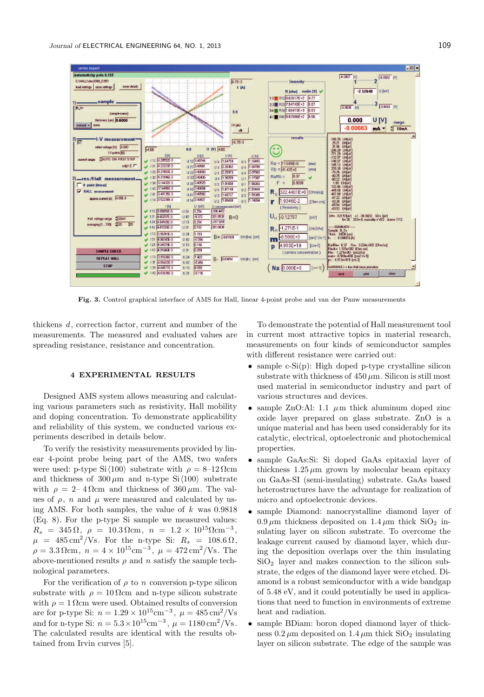

Fig. 3. Control graphical interface of AMS for Hall, linear 4-point probe and van der Pauw measurements

thickens d, correction factor, current and number of the measurements. The measured and evaluated values are spreading resistance, resistance and concentration.

## 4 EXPERIMENTAL RESULTS

Designed AMS system allows measuring and calculating various parameters such as resistivity, Hall mobility and doping concentration. To demonstrate applicability and reliability of this system, we conducted various experiments described in details below.

To verify the resistivity measurements provided by linear 4-point probe being part of the AMS, two wafers were used: p-type Si $\langle 100 \rangle$  substrate with  $\rho = 8-12 \Omega$ cm and thickness of  $300 \mu m$  and n-type Si $\langle 100 \rangle$  substrate with  $\rho = 2-4 \Omega$ cm and thickness of  $360 \,\mu$ m. The values of  $\rho$ , n and  $\mu$  were measured and calculated by using AMS. For both samples, the value of  $k$  was 0.9818 (Eq. 8). For the p-type Si sample we measured values:  $R_s = 345 \,\Omega, \ \rho = 10.3 \,\Omega \text{cm}, \ n = 1.2 \times 10^{15} \Omega \text{cm}^{-3},$  $\mu$  = 485 cm<sup>2</sup>/Vs. For the n-type Si:  $R_s$  = 108.6  $\Omega$ ,  $\rho = 3.3 \,\Omega \text{cm}, \; n = 4 \times 10^{15} \text{cm}^{-3}, \; \mu = 472 \,\text{cm}^2/\text{Vs}.$  The above-mentioned results  $\rho$  and n satisfy the sample technological parameters.

For the verification of  $\rho$  to n conversion p-type silicon substrate with  $\rho = 10 \Omega$ cm and n-type silicon substrate with  $\rho = 1$  Ωcm were used. Obtained results of conversion are for p-type Si:  $n = 1.29 \times 10^{15} \text{cm}^{-3}$ ,  $\mu = 485 \text{cm}^2/\text{Vs}$ and for n-type Si:  $n = 5.3 \times 10^{15} \text{cm}^{-3}$ ,  $\mu = 1180 \text{ cm}^2/\text{Vs}$ . The calculated results are identical with the results obtained from Irvin curves [5].

To demonstrate the potential of Hall measurement tool in current most attractive topics in material research, measurements on four kinds of semiconductor samples with different resistance were carried out:

- sample c- $Si(p)$ : High doped p-type crystalline silicon substrate with thickness of  $450 \mu m$ . Silicon is still most used material in semiconductor industry and part of various structures and devices.
- sample ZnO:Al: 1.1  $\mu$ m thick aluminum doped zinc oxide layer prepared on glass substrate. ZnO is a unique material and has been used considerably for its catalytic, electrical, optoelectronic and photochemical properties.
- sample GaAs:Si: Si doped GaAs epitaxial layer of thickness  $1.25 \mu m$  grown by molecular beam epitaxy on GaAs-SI (semi-insulating) substrate. GaAs based heterostructures have the advantage for realization of micro and optoelectronic devices.
- sample Diamond: nanocrystalline diamond layer of  $0.9 \,\mu\text{m}$  thickness deposited on  $1.4 \,\mu\text{m}$  thick  $\text{SiO}_2$  insulating layer on silicon substrate. To overcome the leakage current caused by diamond layer, which during the deposition overlaps over the thin insulating  $SiO<sub>2</sub>$  layer and makes connection to the silicon substrate, the edges of the diamond layer were etched. Diamond is a robust semiconductor with a wide bandgap of 5.48 eV, and it could potentially be used in applications that need to function in environments of extreme heat and radiation.
- sample BDiam: boron doped diamond layer of thickness  $0.2 \mu$ m deposited on  $1.4 \mu$ m thick SiO<sub>2</sub> insulating layer on silicon substrate. The edge of the sample was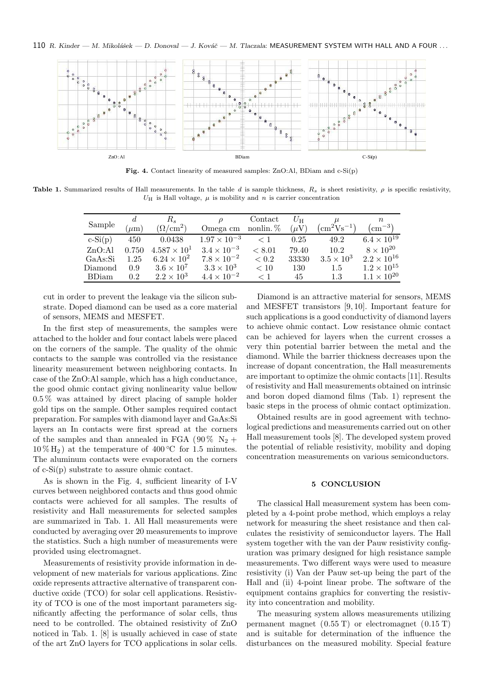$110$  R. Kinder — M. Mikolášek — D. Donoval — J. Kováč — M. Tlaczala: MEASUREMENT SYSTEM WITH HALL AND A FOUR ...



Fig. 4. Contact linearity of measured samples: ZnO:Al, BDiam and c-Si(p)

Table 1. Summarized results of Hall measurements. In the table d is sample thickness,  $R_s$  is sheet resistivity,  $\rho$  is specific resistivity,  $U_H$  is Hall voltage,  $\mu$  is mobility and n is carrier concentration

| Sample    | $\mu$ m | $R_s$<br>$(\Omega/cm^2)$ | Omega cm              | Contact<br>nonlin. % | $U_{\rm H}$<br>$(\mu V)$ | $\rm (cm^2Vs^{-1})$ | $n_{\rm c}$<br>$\rm \Gamma cm^{-3}$ ) |
|-----------|---------|--------------------------|-----------------------|----------------------|--------------------------|---------------------|---------------------------------------|
| $c-Si(p)$ | 450     | 0.0438                   | $1.97 \times 10^{-3}$ | $\lt 1$              | 0.25                     | 49.2                | $6.4 \times 10^{19}$                  |
| ZnO:Al    | 0.750   | $4.587 \times 10^{1}$    | $3.4 \times 10^{-3}$  | ${}<\t8.01$          | 79.40                    | 10.2                | $8 \times 10^{20}$                    |
| GaAs:Si   | 1.25    | $6.24 \times 10^{2}$     | $7.8 \times 10^{-2}$  | < 0.2                | 33330                    | $3.5 \times 10^3$   | $2.2 \times 10^{16}$                  |
| Diamond   | 0.9     | $3.6 \times 10^7$        | $3.3 \times 10^3$     | < 10                 | 130                      | 1.5                 | $1.2 \times 10^{15}$                  |
| BDiam     | $0.2\,$ | $2.2 \times 10^3$        | $4.4 \times 10^{-2}$  | $\langle 1$          | 45                       | 1.3                 | $1.1 \times 10^{20}$                  |

cut in order to prevent the leakage via the silicon substrate. Doped diamond can be used as a core material of sensors, MEMS and MESFET.

In the first step of measurements, the samples were attached to the holder and four contact labels were placed on the corners of the sample. The quality of the ohmic contacts to the sample was controlled via the resistance linearity measurement between neighboring contacts. In case of the ZnO:Al sample, which has a high conductance, the good ohmic contact giving nonlinearity value bellow 0.5 % was attained by direct placing of sample holder gold tips on the sample. Other samples required contact preparation. For samples with diamond layer and GaAs:Si layers an In contacts were first spread at the corners of the samples and than annealed in FGA (90%  $N_2$  +  $10\%$  H<sub>2</sub>) at the temperature of 400 °C for 1.5 minutes. The aluminum contacts were evaporated on the corners of c-Si(p) substrate to assure ohmic contact.

As is shown in the Fig. 4, sufficient linearity of I-V curves between neighbored contacts and thus good ohmic contacts were achieved for all samples. The results of resistivity and Hall measurements for selected samples are summarized in Tab. 1. All Hall measurements were conducted by averaging over 20 measurements to improve the statistics. Such a high number of measurements were provided using electromagnet.

Measurements of resistivity provide information in development of new materials for various applications. Zinc oxide represents attractive alternative of transparent conductive oxide (TCO) for solar cell applications. Resistivity of TCO is one of the most important parameters significantly affecting the performance of solar cells, thus need to be controlled. The obtained resistivity of ZnO noticed in Tab. 1. [8] is usually achieved in case of state of the art ZnO layers for TCO applications in solar cells.

Diamond is an attractive material for sensors, MEMS and MESFET transistors [9, 10]. Important feature for such applications is a good conductivity of diamond layers to achieve ohmic contact. Low resistance ohmic contact can be achieved for layers when the current crosses a very thin potential barrier between the metal and the diamond. While the barrier thickness decreases upon the increase of dopant concentration, the Hall measurements are important to optimize the ohmic contacts [11]. Results of resistivity and Hall measurements obtained on intrinsic and boron doped diamond films (Tab. 1) represent the basic steps in the process of ohmic contact optimization.

Obtained results are in good agreement with technological predictions and measurements carried out on other Hall measurement tools [8]. The developed system proved the potential of reliable resistivity, mobility and doping concentration measurements on various semiconductors.

## 5 CONCLUSION

The classical Hall measurement system has been completed by a 4-point probe method, which employs a relay network for measuring the sheet resistance and then calculates the resistivity of semiconductor layers. The Hall system together with the van der Pauw resistivity configuration was primary designed for high resistance sample measurements. Two different ways were used to measure resistivity (i) Van der Pauw set-up being the part of the Hall and (ii) 4-point linear probe. The software of the equipment contains graphics for converting the resistivity into concentration and mobility.

The measuring system allows measurements utilizing permanent magnet (0.55 T) or electromagnet (0.15 T) and is suitable for determination of the influence the disturbances on the measured mobility. Special feature